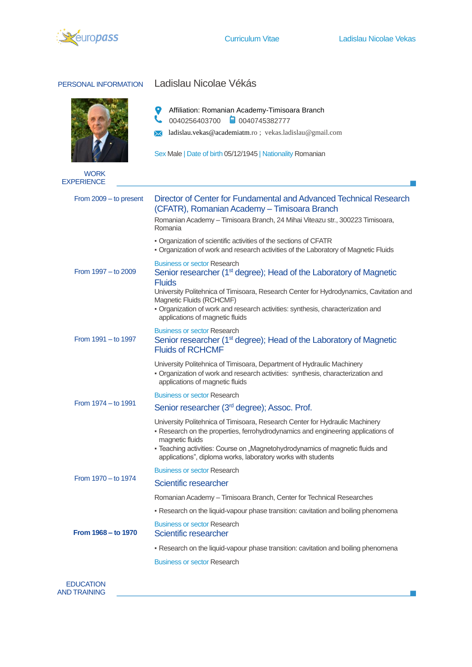

 $\mathbf{L}$ 

| PERSONAL INFORMATION   | Ladislau Nicolae Vékás                                                                                                                                                                                                                                                                                                                                                            |  |  |  |  |
|------------------------|-----------------------------------------------------------------------------------------------------------------------------------------------------------------------------------------------------------------------------------------------------------------------------------------------------------------------------------------------------------------------------------|--|--|--|--|
| <b>WORK</b>            | 9<br>Affiliation: Romanian Academy-Timisoara Branch<br>╰<br>■ 0040745382777<br>0040256403700<br>ladislau.vekas@academiatm.ro; vekas.ladislau@gmail.com<br>ᢂ<br>Sex Male   Date of birth 05/12/1945   Nationality Romanian                                                                                                                                                         |  |  |  |  |
| <b>EXPERIENCE</b>      |                                                                                                                                                                                                                                                                                                                                                                                   |  |  |  |  |
| From 2009 - to present | Director of Center for Fundamental and Advanced Technical Research<br>(CFATR), Romanian Academy - Timisoara Branch<br>Romanian Academy - Timisoara Branch, 24 Mihai Viteazu str., 300223 Timisoara,<br>Romania<br>• Organization of scientific activities of the sections of CFATR<br>- Organization of work and research activities of the Laboratory of Magnetic Fluids         |  |  |  |  |
| From 1997 - to 2009    | <b>Business or sector Research</b><br>Senior researcher (1 <sup>st</sup> degree); Head of the Laboratory of Magnetic<br><b>Fluids</b><br>University Politehnica of Timisoara, Research Center for Hydrodynamics, Cavitation and<br>Magnetic Fluids (RCHCMF)<br>· Organization of work and research activities: synthesis, characterization and<br>applications of magnetic fluids |  |  |  |  |
| From 1991 - to 1997    | <b>Business or sector Research</b><br>Senior researcher (1 <sup>st</sup> degree); Head of the Laboratory of Magnetic<br><b>Fluids of RCHCMF</b>                                                                                                                                                                                                                                   |  |  |  |  |
|                        | University Politehnica of Timisoara, Department of Hydraulic Machinery<br>- Organization of work and research activities: synthesis, characterization and<br>applications of magnetic fluids                                                                                                                                                                                      |  |  |  |  |
| From 1974 - to 1991    | <b>Business or sector Research</b>                                                                                                                                                                                                                                                                                                                                                |  |  |  |  |
|                        | Senior researcher (3 <sup>rd</sup> degree); Assoc. Prof.                                                                                                                                                                                                                                                                                                                          |  |  |  |  |
|                        | University Politehnica of Timisoara, Research Center for Hydraulic Machinery<br>- Research on the properties, ferrohydrodynamics and engineering applications of<br>magnetic fluids<br>- Teaching activities: Course on "Magnetohydrodynamics of magnetic fluids and<br>applications", diploma works, laboratory works with students                                              |  |  |  |  |
| From 1970 - to 1974    | <b>Business or sector Research</b>                                                                                                                                                                                                                                                                                                                                                |  |  |  |  |
|                        | Scientific researcher                                                                                                                                                                                                                                                                                                                                                             |  |  |  |  |
|                        | Romanian Academy - Timisoara Branch, Center for Technical Researches                                                                                                                                                                                                                                                                                                              |  |  |  |  |
|                        | - Research on the liquid-vapour phase transition: cavitation and boiling phenomena                                                                                                                                                                                                                                                                                                |  |  |  |  |
| From 1968 – to 1970    | <b>Business or sector Research</b><br>Scientific researcher                                                                                                                                                                                                                                                                                                                       |  |  |  |  |
|                        | - Research on the liquid-vapour phase transition: cavitation and boiling phenomena                                                                                                                                                                                                                                                                                                |  |  |  |  |
|                        | <b>Business or sector Research</b>                                                                                                                                                                                                                                                                                                                                                |  |  |  |  |

EDUCATION AND TRAINING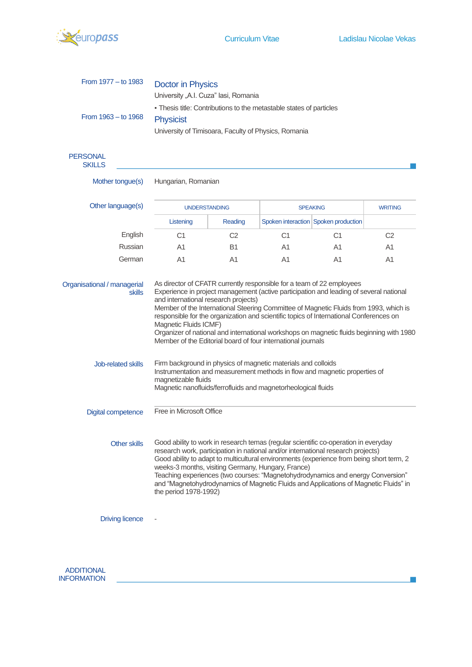

J.

| From 1977 - to 1983              | <b>Doctor in Physics</b>                                                                                                                                                                                                                                                                                                                                                                                                                                                                                                      |                |                 |                                      |                |  |  |
|----------------------------------|-------------------------------------------------------------------------------------------------------------------------------------------------------------------------------------------------------------------------------------------------------------------------------------------------------------------------------------------------------------------------------------------------------------------------------------------------------------------------------------------------------------------------------|----------------|-----------------|--------------------------------------|----------------|--|--|
|                                  | University "A.I. Cuza" lasi, Romania                                                                                                                                                                                                                                                                                                                                                                                                                                                                                          |                |                 |                                      |                |  |  |
| From 1963 - to 1968              | - Thesis title: Contributions to the metastable states of particles                                                                                                                                                                                                                                                                                                                                                                                                                                                           |                |                 |                                      |                |  |  |
|                                  | <b>Physicist</b>                                                                                                                                                                                                                                                                                                                                                                                                                                                                                                              |                |                 |                                      |                |  |  |
|                                  | University of Timisoara, Faculty of Physics, Romania                                                                                                                                                                                                                                                                                                                                                                                                                                                                          |                |                 |                                      |                |  |  |
| <b>PERSONAL</b><br><b>SKILLS</b> |                                                                                                                                                                                                                                                                                                                                                                                                                                                                                                                               |                |                 |                                      |                |  |  |
| Mother tongue(s)                 | Hungarian, Romanian                                                                                                                                                                                                                                                                                                                                                                                                                                                                                                           |                |                 |                                      |                |  |  |
| Other language(s)                | <b>UNDERSTANDING</b>                                                                                                                                                                                                                                                                                                                                                                                                                                                                                                          |                | <b>SPEAKING</b> |                                      | <b>WRITING</b> |  |  |
|                                  | Listening                                                                                                                                                                                                                                                                                                                                                                                                                                                                                                                     | Reading        |                 | Spoken interaction Spoken production |                |  |  |
| English                          | C <sub>1</sub>                                                                                                                                                                                                                                                                                                                                                                                                                                                                                                                | C <sub>2</sub> | C <sub>1</sub>  | C1                                   | C2             |  |  |
| Russian                          | A1                                                                                                                                                                                                                                                                                                                                                                                                                                                                                                                            | B1             | A1              | A1                                   | A1             |  |  |
| German                           | A1                                                                                                                                                                                                                                                                                                                                                                                                                                                                                                                            | A1             | A1              | A1                                   | A1             |  |  |
|                                  | Member of the International Steering Committee of Magnetic Fluids from 1993, which is<br>responsible for the organization and scientific topics of International Conferences on<br>Magnetic Fluids ICMF)<br>Organizer of national and international workshops on magnetic fluids beginning with 1980<br>Member of the Editorial board of four international journals                                                                                                                                                          |                |                 |                                      |                |  |  |
| <b>Job-related skills</b>        | Firm background in physics of magnetic materials and colloids<br>Instrumentation and measurement methods in flow and magnetic properties of<br>magnetizable fluids<br>Magnetic nanofluids/ferrofluids and magnetorheological fluids                                                                                                                                                                                                                                                                                           |                |                 |                                      |                |  |  |
| <b>Digital competence</b>        | Free in Microsoft Office                                                                                                                                                                                                                                                                                                                                                                                                                                                                                                      |                |                 |                                      |                |  |  |
| <b>Other skills</b>              | Good ability to work in research temas (regular scientific co-operation in everyday<br>research work, participation in national and/or international research projects)<br>Good ability to adapt to multicultural environments (experience from being short term, 2<br>weeks-3 months, visiting Germany, Hungary, France)<br>Teaching experiences (two courses: "Magnetohydrodynamics and energy Conversion"<br>and "Magnetohydrodynamics of Magnetic Fluids and Applications of Magnetic Fluids" in<br>the period 1978-1992) |                |                 |                                      |                |  |  |
| <b>Driving licence</b>           |                                                                                                                                                                                                                                                                                                                                                                                                                                                                                                                               |                |                 |                                      |                |  |  |

ADDITIONAL INFORMATION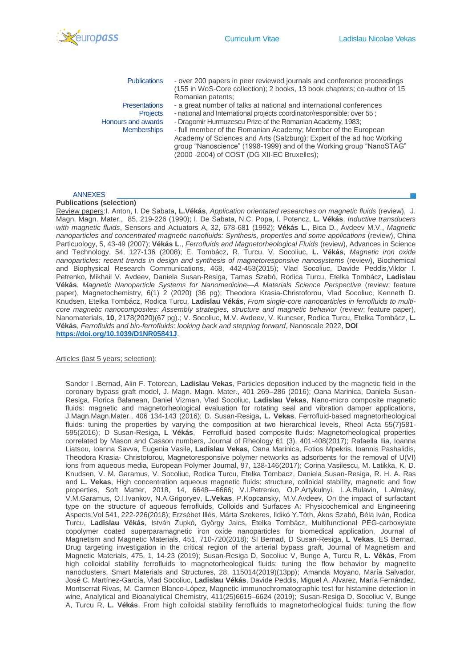

**Publications** 

**Presentations Projects** Honours and awards **Memberships** 

- over 200 papers in peer reviewed journals and conference proceedings (155 in WoS-Core collection); 2 books, 13 book chapters; co-author of 15 Romanian patents;
- a great number of talks at national and international conferences
- national and International projects coordinator/responsible: over 55 ;
- Dragomir Hurmuzescu Prize of the Romanian Academy, 1983;

- full member of the Romanian Academy; Member of the European Academy of Sciences and Arts (Salzburg); Expert of the ad hoc Working group "Nanoscience" (1998-1999) and of the Working group "NanoSTAG"  $(2000 - 2004)$  of COST (DG XII-EC Bruxelles);

## ANNEXES

## **Publications (selection)**

Review papers:I. Anton, I. De Sabata, **L.Vékás**, *Application orientated researches on magnetic fluids* (review), J. Magn. Magn. Mater., 85, 219-226 (1990); I. De Sabata, N.C. Popa, I. Potencz, **L. Vékás**, *Inductive transducers with magnetic fluids*, Sensors and Actuators A, 32, 678-681 (1992); **Vékás L**., Bica D., Avdeev M.V., *Magnetic nanoparticles and concentrated magnetic nanofluids: Synthesis, properties and some applications* (review), China Particuology, 5, 43-49 (2007); **Vékás L**., *Ferrofluids and Magnetorheological Fluids* (review), Advances in Science and Technology, 54, 127-136 (2008); E. Tombácz, R. Turcu, V. Socoliuc, **L. Vékás**, *Magnetic iron oxide nanoparticles: recent trends in design and synthesis of magnetoresponsive nanosystems* (review), Biochemical and Biophysical Research Communications, 468, 442-453(2015); Vlad Socoliuc, Davide Peddis,Viktor I. Petrenko, Mikhail V. Avdeev, Daniela Susan-Resiga, Tamas Szabó, Rodica Turcu, Etelka Tombácz**, Ladislau Vékás**, *Magnetic Nanoparticle Systems for Nanomedicine—A Materials Science Perspective* (review; feature paper), Magnetochemistry, 6(1) 2 (2020) (36 pg); Theodora Krasia-Christoforou, Vlad Socoliuc, Kenneth D. Knudsen, Etelka Tombácz, Rodica Turcu, **Ladislau Vékás**, *From single-core nanoparticles in ferrofluids to multicore magnetic nanocomposites: Assembly strategies, structure and magnetic behavior (review; feature paper),* Nanomaterials, **10**, 2178(2020)(67 pg).; V. Socoliuc, M.V. Avdeev, V. Kuncser, Rodica Turcu, Etelka Tombácz, **L. Vékás**, *Ferrofluids and bio-ferrofluids: looking back and stepping forward*, Nanoscale 2022, **DOI <https://doi.org/10.1039/D1NR05841J>**.

Articles (last 5 years; selection):

Sandor I .Bernad, Alin F. Totorean, **Ladislau Vekas**, Particles deposition induced by the magnetic field in the coronary bypass graft model, J. Magn. Magn. Mater., 401 269–286 (2016); Oana Marinica, Daniela Susan-Resiga, Florica Balanean, Daniel Vizman, Vlad Socoliuc, **Ladislau Vekas**, Nano-micro composite magnetic fluids: magnetic and magnetorheological evaluation for rotating seal and vibration damper applications, J.Magn.Magn.Mater., 406 134-143 (2016); D. Susan-Resiga**, L. Vekas**, Ferrofluid-based magnetorheological fluids: tuning the properties by varying the composition at two hierarchical levels, Rheol Acta 55(7)581-595(2016); D Susan-Resiga**, L Vékás**, Ferrofluid based composite fluids: Magnetorheological properties correlated by Mason and Casson numbers, Journal of Rheology 61 (3), 401-408(2017); Rafaella Ilia, Ioanna Liatsou, Ioanna Savva, Eugenia Vasile, **Ladislau Vekas**, Oana Marinica, Fotios Mpekris, Ioannis Pashalidis, Theodora Krasia- Christoforou, Magnetoresponsive polymer networks as adsorbents for the removal of U(VI) ions from aqueous media, European Polymer Journal, 97, 138-146(2017); Corina Vasilescu, M. Latikka, K. D. Knudsen, V. M. Garamus, V. Socoliuc, Rodica Turcu, Etelka Tombacz, Daniela Susan-Resiga, R. H. A. Ras and **L. Vekas**, High concentration aqueous magnetic fluids: structure, colloidal stability, magnetic and flow properties, Soft Matter, 2018, 14, 6648—6666; V.I.Petrenko, O.P.Artykulnyi, L.A.Bulavin, L.Almásy, V.M.Garamus, O.I.Ivankov, N.A.Grigoryev, **L.Vekas**, P.Kopcansky, M.V.Avdeev, On the impact of surfactant type on the structure of aqueous ferrofluids, Colloids and Surfaces A: Physicochemical and Engineering Aspects,Vol 541, 222-226(2018); Erzsébet Illés, Márta Szekeres, Ildikó Y.Tóth, Ákos Szabó, Béla Iván, Rodica Turcu, **Ladislau Vékás**, István Zupkó, György Jaics, Etelka Tombácz, Multifunctional PEG-carboxylate copolymer coated superparamagnetic iron oxide nanoparticles for biomedical application, Journal of Magnetism and Magnetic Materials, 451, 710-720(2018); SI Bernad, D Susan-Resiga, **L Vekas**, ES Bernad, Drug targeting investigation in the critical region of the arterial bypass graft, Journal of Magnetism and Magnetic Materials, 475, 1, 14-23 (2019); Susan-Resiga D, Socoliuc V, Bunge A, Turcu R, **L. Vékás**, From high colloidal stability ferrofluids to magnetorheological fluids: tuning the flow behavior by magnetite nanoclusters, Smart Materials and Structures, 28, 115014(2019)(13pp); Amanda Moyano, María Salvador, José C. Martínez-García, Vlad Socoliuc, **Ladislau Vékás**, Davide Peddis, Miguel A. Alvarez, María Fernández, Montserrat Rivas, M. Carmen Blanco-López, Magnetic immunochromatographic test for histamine detection in wine, Analytical and Bioanalytical Chemistry, 411(25)6615–6624 (2019); Susan-Resiga D, Socoliuc V, Bunge A, Turcu R, **L. Vékás**, From high colloidal stability ferrofluids to magnetorheological fluids: tuning the flow